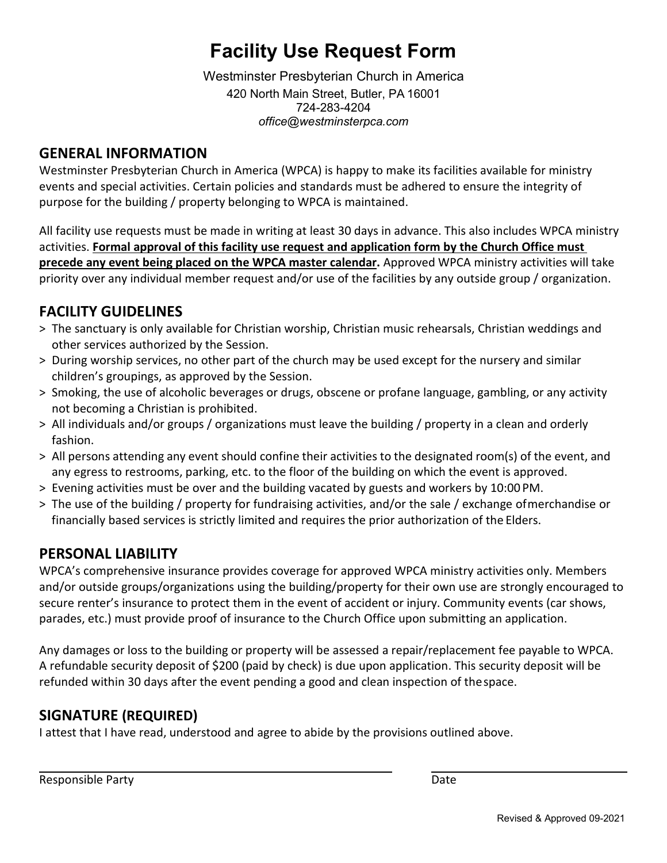# **Facility Use Request Form**

Westminster Presbyterian Church in America 420 North Main Street, Butler, PA 16001 724-283-4204 *[office@westminsterpca.com](mailto:office@westminsterpca.com)*

#### **GENERAL INFORMATION**

Westminster Presbyterian Church in America (WPCA) is happy to make its facilities available for ministry events and special activities. Certain policies and standards must be adhered to ensure the integrity of purpose for the building / property belonging to WPCA is maintained.

All facility use requests must be made in writing at least 30 days in advance. This also includes WPCA ministry activities. **Formal approval of this facility use request and application form by the Church Office must precede any event being placed on the WPCA master calendar.** Approved WPCA ministry activities will take priority over any individual member request and/or use of the facilities by any outside group / organization.

### **FACILITY GUIDELINES**

- > The sanctuary is only available for Christian worship, Christian music rehearsals, Christian weddings and other services authorized by the Session.
- > During worship services, no other part of the church may be used except for the nursery and similar children's groupings, as approved by the Session.
- > Smoking, the use of alcoholic beverages or drugs, obscene or profane language, gambling, or any activity not becoming a Christian is prohibited.
- > All individuals and/or groups / organizations must leave the building / property in a clean and orderly fashion.
- > All persons attending any event should confine their activities to the designated room(s) of the event, and any egress to restrooms, parking, etc. to the floor of the building on which the event is approved.
- > Evening activities must be over and the building vacated by guests and workers by 10:00 PM.
- > The use of the building / property for fundraising activities, and/or the sale / exchange ofmerchandise or financially based services is strictly limited and requires the prior authorization of the Elders.

#### **PERSONAL LIABILITY**

WPCA's comprehensive insurance provides coverage for approved WPCA ministry activities only. Members and/or outside groups/organizations using the building/property for their own use are strongly encouraged to secure renter's insurance to protect them in the event of accident or injury. Community events (car shows, parades, etc.) must provide proof of insurance to the Church Office upon submitting an application.

Any damages or loss to the building or property will be assessed a repair/replacement fee payable to WPCA. A refundable security deposit of \$200 (paid by check) is due upon application. This security deposit will be refunded within 30 days after the event pending a good and clean inspection of thespace.

#### **SIGNATURE (REQUIRED)**

I attest that I have read, understood and agree to abide by the provisions outlined above.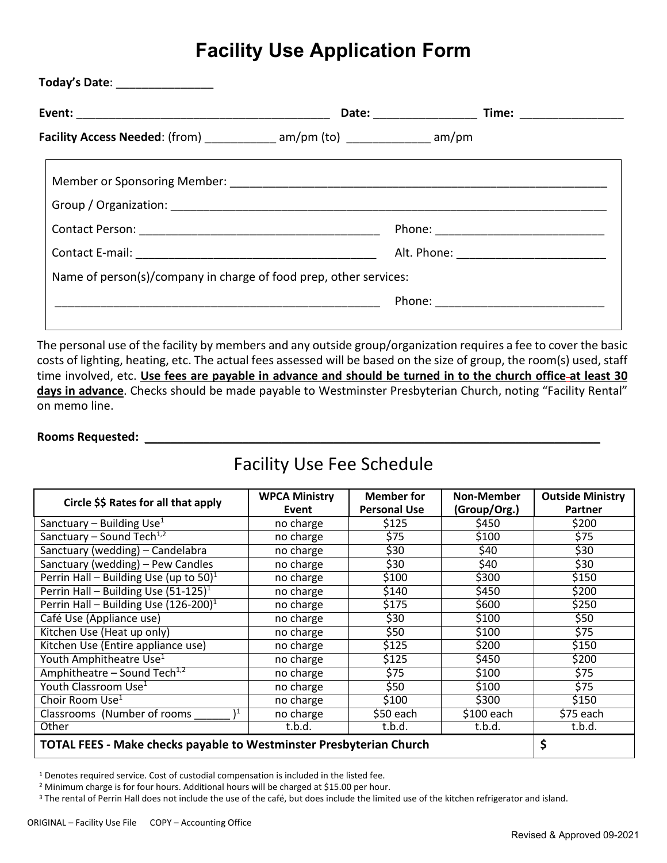### **Facility Use Application Form**

| Facility Access Needed: (from) ____________ am/pm (to) ____________ am/pm |  |  |
|---------------------------------------------------------------------------|--|--|
|                                                                           |  |  |
|                                                                           |  |  |
|                                                                           |  |  |
|                                                                           |  |  |
| Name of person(s)/company in charge of food prep, other services:         |  |  |
|                                                                           |  |  |

The personal use of the facility by members and any outside group/organization requires a fee to cover the basic costs of lighting, heating, etc. The actual fees assessed will be based on the size of group, the room(s) used, staff time involved, etc. **Use fees are payable in advance and should be turned in to the church office at least 30 days in advance**. Checks should be made payable to Westminster Presbyterian Church, noting "Facility Rental" on memo line.

#### **Rooms Requested:** \_\_\_\_\_\_\_\_\_\_\_\_\_\_\_\_\_\_\_\_\_\_\_\_\_\_\_\_\_\_\_\_\_\_\_\_\_\_\_\_\_\_\_\_\_\_\_\_\_\_\_\_\_\_\_\_\_\_\_\_\_\_\_\_\_\_\_\_\_\_

### Facility Use Fee Schedule

| Circle \$\$ Rates for all that apply                                       | <b>WPCA Ministry</b><br>Event | <b>Member for</b><br><b>Personal Use</b> | Non-Member<br>(Group/Org.) | <b>Outside Ministry</b><br>Partner |
|----------------------------------------------------------------------------|-------------------------------|------------------------------------------|----------------------------|------------------------------------|
| Sanctuary - Building $U\overline{se^1}$                                    | no charge                     | \$125                                    | \$450                      | \$200                              |
| Sanctuary - Sound Tech <sup>1,2</sup>                                      | no charge                     | \$75                                     | \$100                      | \$75                               |
| Sanctuary (wedding) - Candelabra                                           | no charge                     | \$30                                     | \$40                       | \$30                               |
| Sanctuary (wedding) - Pew Candles                                          | no charge                     | \$30                                     | \$40                       | \$30                               |
| Perrin Hall – Building Use (up to $50$ ) <sup>1</sup>                      | no charge                     | \$100                                    | \$300                      | \$150                              |
| Perrin Hall - Building Use $(51-125)^1$                                    | no charge                     | \$140                                    | \$450                      | \$200                              |
| Perrin Hall - Building Use $(126-200)^1$                                   | no charge                     | \$175                                    | \$600                      | \$250                              |
| Café Use (Appliance use)                                                   | no charge                     | \$30                                     | \$100                      | \$50                               |
| Kitchen Use (Heat up only)                                                 | no charge                     | \$50                                     | \$100                      | \$75                               |
| Kitchen Use (Entire appliance use)                                         | no charge                     | \$125                                    | \$200                      | \$150                              |
| Youth Amphitheatre Use <sup>1</sup>                                        | no charge                     | \$125                                    | \$450                      | \$200                              |
| Amphitheatre - Sound Tech <sup>1,2</sup>                                   | no charge                     | \$75                                     | \$100                      | \$75                               |
| Youth Classroom Use <sup>1</sup>                                           | no charge                     | \$50                                     | \$100                      | \$75                               |
| Choir Room Use <sup>1</sup>                                                | no charge                     | \$100                                    | \$300                      | \$150                              |
| Classrooms (Number of rooms)                                               | no charge                     | \$50 each                                | $$100$ each                | \$75 each                          |
| Other                                                                      | t.b.d.                        | t.b.d.                                   | t.b.d.                     | t.b.d.                             |
| <b>TOTAL FEES - Make checks payable to Westminster Presbyterian Church</b> | \$                            |                                          |                            |                                    |

<sup>1</sup> Denotes required service. Cost of custodial compensation is included in the listed fee.

<sup>2</sup> Minimum charge is for four hours. Additional hours will be charged at \$15.00 per hour.

<sup>3</sup> The rental of Perrin Hall does not include the use of the café, but does include the limited use of the kitchen refrigerator and island.